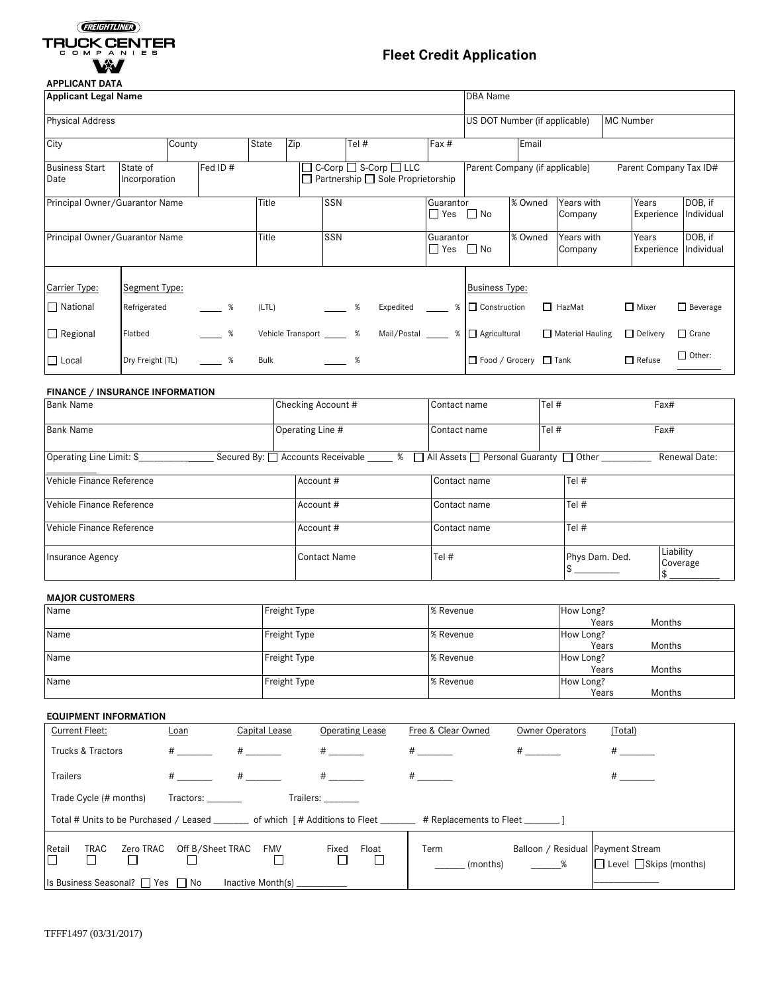# GREGITLINED TRUCK CENTER VX /

# **Fleet Credit Application**

┑

## **APPLICANT DATA**

| Applicant Legal Name                                                   |                  |        |          |       |                              |          |                                                                                         |                                      | <b>DBA</b> Name                   |                               |         |                       |                  |                        |                       |
|------------------------------------------------------------------------|------------------|--------|----------|-------|------------------------------|----------|-----------------------------------------------------------------------------------------|--------------------------------------|-----------------------------------|-------------------------------|---------|-----------------------|------------------|------------------------|-----------------------|
| <b>Physical Address</b>                                                |                  |        |          |       |                              |          |                                                                                         |                                      |                                   | US DOT Number (if applicable) |         |                       | <b>MC Number</b> |                        |                       |
| City                                                                   |                  | County |          | State | Zip                          |          | Tel #                                                                                   |                                      | Fax #                             |                               | Email   |                       |                  |                        |                       |
| Fed ID #<br><b>Business Start</b><br>State of<br>Date<br>Incorporation |                  |        |          |       |                              |          | $\Box$ C-Corp $\Box$ S-Corp $\Box$ LLC<br>$\Box$ Partnership $\Box$ Sole Proprietorship |                                      | Parent Company (if applicable)    |                               |         |                       |                  | Parent Company Tax ID# |                       |
| Principal Owner/Guarantor Name                                         |                  |        |          | Title |                              | SSN      |                                                                                         |                                      | Guarantor<br>$\Box$ Yes $\Box$ No |                               | % Owned | Years with<br>Company |                  | Years<br>Experience    | DOB, if<br>Individual |
| Principal Owner/Guarantor Name                                         |                  |        |          | Title |                              | SSN      |                                                                                         |                                      | Guarantor<br>$\Box$ Yes $\Box$ No |                               | % Owned | Years with<br>Company |                  | Years<br>Experience    | DOB, if<br>Individual |
| Carrier Type:                                                          | Segment Type:    |        |          |       |                              |          |                                                                                         |                                      |                                   | <b>Business Type:</b>         |         |                       |                  |                        |                       |
| $\Box$ National                                                        | Refrigerated     |        | $\%$     | (LTL) |                              | $\%$     |                                                                                         | Expedited _____ %   □ Construction   |                                   |                               |         | $\Box$ HazMat         |                  | $\Box$ Mixer           | $\Box$ Beverage       |
| $\Box$ Regional                                                        | Flatbed          |        | $\sim$ % |       | Vehicle Transport ________ % |          |                                                                                         | Mail/Postal _____ %   △ Agricultural |                                   |                               |         | Material Hauling      |                  | $\Box$ Delivery        | $\Box$ Crane          |
| $\Box$ Local                                                           | Dry Freight (TL) |        | $\sim$ % | Bulk  |                              | $\sim$ % |                                                                                         |                                      |                                   | □ Food / Grocery □ Tank       |         |                       |                  | $\Box$ Refuse          | $\Box$ Other:         |

### **FINANCE / INSURANCE INFORMATION**

| <b>Bank Name</b>          | Checking Account #                | Contact name                                  | Tel #          | Fax#                  |  |
|---------------------------|-----------------------------------|-----------------------------------------------|----------------|-----------------------|--|
| <b>Bank Name</b>          | Operating Line #                  | Contact name                                  | Tel $#$        | Fax#                  |  |
| Operating Line Limit: \$  | Secured By: □ Accounts Receivable | □ All Assets □ Personal Guaranty □ Other<br>% |                | Renewal Date:         |  |
| Vehicle Finance Reference | Account #                         | Contact name                                  | Tel #          |                       |  |
| Vehicle Finance Reference | Account #                         | Contact name                                  | Tel #          |                       |  |
| Vehicle Finance Reference | Account #                         | Contact name                                  | Tel #          |                       |  |
| Insurance Agency          | Contact Name                      | Tel #                                         | Phys Dam. Ded. | Liability<br>Coverage |  |

### **MAJOR CUSTOMERS**

| Name | Freight Type | % Revenue | How Long? |        |
|------|--------------|-----------|-----------|--------|
|      |              |           | Years     | Months |
| Name | Freight Type | % Revenue | How Long? |        |
|      |              |           | Years     | Months |
| Name | Freight Type | % Revenue | How Long? |        |
|      |              |           | Years     | Months |
| Name | Freight Type | % Revenue | How Long? |        |
|      |              |           | Years     | Months |

## **EQUIPMENT INFORMATION**

| <b>Current Fleet:</b>                                                                                                    | Loan                 | Capital Lease | Operating Lease     | Free & Clear Owned | <b>Owner Operators</b>                      | (Total)                            |
|--------------------------------------------------------------------------------------------------------------------------|----------------------|---------------|---------------------|--------------------|---------------------------------------------|------------------------------------|
| Trucks & Tractors                                                                                                        | $\#$ and $\#$        | $#$ and $#$   | #                   | $\#$ and $\#$      | $#$ and $*$                                 | $\#$ and $\#$                      |
| <b>Trailers</b>                                                                                                          | $\#$ and $\#$        | $#$ and $*$   | $\#$ and $\#$       | $\#$ and $\#$      |                                             |                                    |
| Trade Cycle (# months)<br>Tractors: Tractors:<br>Trailers: ________                                                      |                      |               |                     |                    |                                             |                                    |
| Total # Units to be Purchased / Leased ________ of which [# Additions to Fleet _______ # Replacements to Fleet _______ ] |                      |               |                     |                    |                                             |                                    |
| Retail<br>TRAC<br>Zero TRAC                                                                                              | Off B/Sheet TRAC FMV |               | Float<br>Fixed<br>П | Term<br>(months)   | Balloon / Residual   Payment Stream<br>$\%$ | $\Box$ Level $\Box$ Skips (months) |
| Is Business Seasonal? $\Box$ Yes $\Box$ No<br>Inactive Month(s) ________                                                 |                      |               |                     |                    |                                             |                                    |